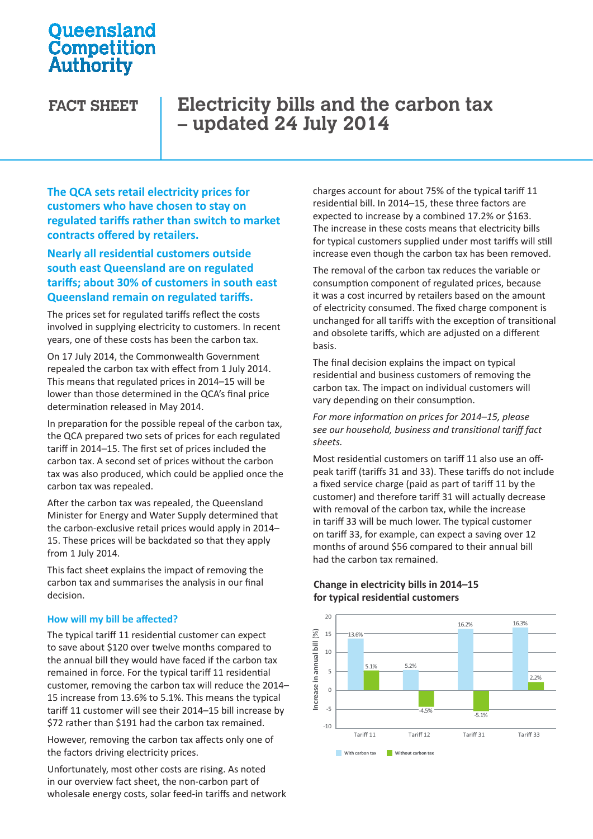# **Oueensland** Competition Authority

# **FACT SHEET Electricity bills and the carbon tax – updated 24 July 2014**

**The QCA sets retail electricity prices for customers who have chosen to stay on regulated tariffs rather than switch to market contracts offered by retailers.**

### **Nearly all residential customers outside south east Queensland are on regulated tariffs; about 30% of customers in south east Queensland remain on regulated tariffs.**

The prices set for regulated tariffs reflect the costs involved in supplying electricity to customers. In recent years, one of these costs has been the carbon tax.

On 17 July 2014, the Commonwealth Government repealed the carbon tax with effect from 1 July 2014. This means that regulated prices in 2014–15 will be lower than those determined in the QCA's final price determination released in May 2014.

In preparation for the possible repeal of the carbon tax, the QCA prepared two sets of prices for each regulated tariff in 2014–15. The first set of prices included the carbon tax. A second set of prices without the carbon tax was also produced, which could be applied once the carbon tax was repealed.

After the carbon tax was repealed, the Queensland Minister for Energy and Water Supply determined that the carbon-exclusive retail prices would apply in 2014– 15. These prices will be backdated so that they apply from 1 July 2014.

This fact sheet explains the impact of removing the carbon tax and summarises the analysis in our final decision.

### **How will my bill be affected?**

The typical tariff 11 residential customer can expect to save about \$120 over twelve months compared to the annual bill they would have faced if the carbon tax remained in force. For the typical tariff 11 residential customer, removing the carbon tax will reduce the 2014– 15 increase from 13.6% to 5.1%. This means the typical tariff 11 customer will see their 2014–15 bill increase by \$72 rather than \$191 had the carbon tax remained.

However, removing the carbon tax affects only one of the factors driving electricity prices.

Unfortunately, most other costs are rising. As noted in our overview fact sheet, the non-carbon part of wholesale energy costs, solar feed-in tariffs and network charges account for about 75% of the typical tariff 11 residential bill. In 2014–15, these three factors are expected to increase by a combined 17.2% or \$163. expected to increase by a combined 17.2% or \$165.<br>The increase in these costs means that electricity bills for typical customers supplied under most tariffs will still increase even though the carbon tax has been removed.

The removal of the carbon tax reduces the variable or The removal of the carbon tax reduces the variable or<br>consumption component of regulated prices, because it was a cost incurred by retailers based on the amount of electricity consumed. The fixed charge component is unchanged for all tariffs with the exception of transitional and obsolete tariffs, which are adjusted on a different basis.

**The final decision explains the impact on typical<br>residential and business customers of removing** The final decision explains the impact on typical<br>residential and business customers of removing the carbon tax. The impact on individual customers will<br>vary depending on their consumption. vary depending on their consumption.

*For more information on prices for 2014–15, please For more information on prices for 2014* [15], picase<br>see our household, business and transitional tariff fact *sheets.* 

Most residential customers on tariff 11 also use an off-**21% 2018 2018 21% 228 <b>2018 21% 228 2018 21% 228 2019 21% 228 2019 21% 228 2019 21% 228 2019 21% 228 2019 2019 2029 2020 2020 2020 2020 2020 2020 2020 2020 202** a fixed service charge (paid as part of tariff 11 by the customer) and therefore tariff 31 will actually decrease with removal of the carbon tax, while the increase in tariff 33 will be much lower. The typical customer on tariff 33, for example, can expect a saving over 12 months of around \$56 compared to their annual bill had the carbon tax remained.

#### 20 16.3% 16.2%  $(%)$ **Increase in annual bill** (%) 15 13.6% Increase in annual bill 10 5.1% 5.2% 5  $22%$  $\overline{0}$ -5 -4.5%  $-5.1%$  $-10$ Tariff 11 Tariff 12 Tariff 31 Tariff 33 **With carbon tax Without carbon tax**

### **Change in electricity bills in 2014–15 for typical residential customers**